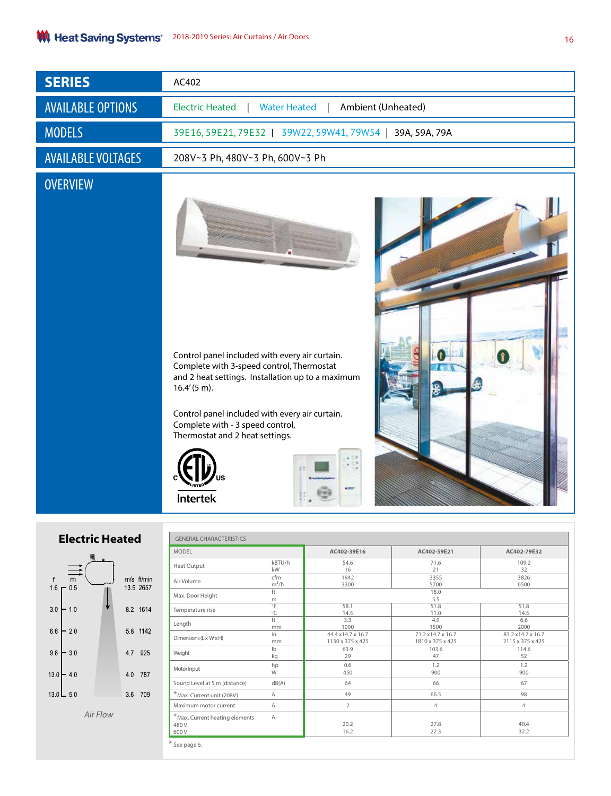| <b>SERIES</b>             | AC402                                                               |
|---------------------------|---------------------------------------------------------------------|
| <b>AVAILABLE OPTIONS</b>  | <b>Electric Heated</b><br><b>Water Heated</b><br>Ambient (Unheated) |
| <b>MODELS</b>             | 39E16, 59E21, 79E32   39W22, 59W41, 79W54  <br>39A, 59A, 79A        |
| <b>AVAILABLE VOLTAGES</b> | 208V~3 Ph, 480V~3 Ph, 600V~3 Ph                                     |
| <b>OVERVIEW</b>           |                                                                     |

Control panel included with every air curtain. Complete with 3-speed control, Thermostat and 2 heat settings. Installation up to a maximum 16.4' (5 m).

Control panel included with every air curtain. Complete with - 3 speed control, Thermostat and 2 heat settings.







| <b>MODEL</b>                                       |         | AC402-39E16        | AC402-59E21       | AC402-79E32       |  |
|----------------------------------------------------|---------|--------------------|-------------------|-------------------|--|
| Heat Output                                        | kBTU/h  | 54.6               | 71.6              | 109.2             |  |
|                                                    | kW      | 16                 | 21                | 32                |  |
| Air Volume                                         | cfm     | 1942               | 3355              | 3826              |  |
|                                                    | $m^3/h$ | 3300               | 5700              | 6500              |  |
| Max. Door Height                                   | ft<br>m | 18.0<br>5.5        |                   |                   |  |
| Temperature rise                                   | °F      | 58.1               | 51.8              | 51.8              |  |
|                                                    | °C      | 14.5               | 11.0              | 14.5              |  |
| Length                                             | ft.     | 3.3                | 4.9               | 6.6               |  |
|                                                    | mm      | 1000               | 1500              | 2000              |  |
| Dimensions (Lx WxH)                                | in      | 44.4 x 14.7 x 16.7 | 71.2 x14.7 x 16.7 | 83.2 x14.7 x 16.7 |  |
|                                                    | mm      | 1130 x 375 x 425   | 1810 x 375 x 425  | 2115 x 375 x 425  |  |
| Weight                                             | Ib      | 63.9               | 103.6             | 114.6             |  |
|                                                    | kg      | 29                 | 47                | 52                |  |
| Motor Input                                        | hp      | 0.6                | 1.2               | 1.2               |  |
|                                                    | W       | 450                | 900               | 900               |  |
| Sound Level at 5 m (distance)                      | dB(A)   | 64                 | 66                | 67                |  |
| *Max. Current unit (208V)                          | A       | 49                 | 66.5              | 98                |  |
| Maximum motor current                              | A       | $\overline{2}$     | $\overline{4}$    | $\overline{4}$    |  |
| $*$ Max. Current heating elements<br>480 V<br>600V | A       | 20.2<br>16.2       | 27.8<br>22.3      | 40.4<br>32.2      |  |

## **Electric He**



*Air Flow*